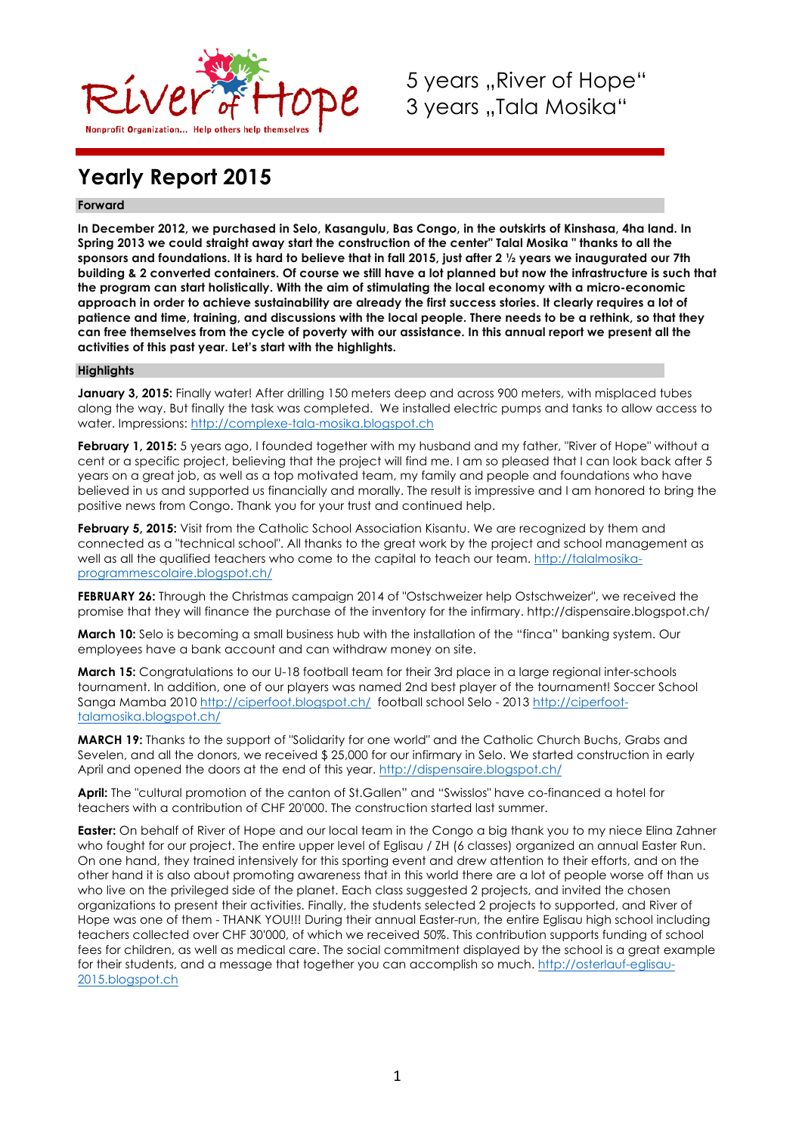

5 years ..River of Hope" 3 years "Tala Mosika"

# **Yearly Report 2015**

### **Forward**

**In December 2012, we purchased in Selo, Kasangulu, Bas Congo, in the outskirts of Kinshasa, 4ha land. In Spring 2013 we could straight away start the construction of the center" Talal Mosika " thanks to all the sponsors and foundations. It is hard to believe that in fall 2015, just after 2 ½ years we inaugurated our 7th building & 2 converted containers. Of course we still have a lot planned but now the infrastructure is such that the program can start holistically. With the aim of stimulating the local economy with a micro-economic approach in order to achieve sustainability are already the first success stories. It clearly requires a lot of patience and time, training, and discussions with the local people. There needs to be a rethink, so that they can free themselves from the cycle of poverty with our assistance. In this annual report we present all the activities of this past year. Let's start with the highlights.**

### **Highlights**

**January 3, 2015:** Finally water! After drilling 150 meters deep and across 900 meters, with misplaced tubes along the way. But finally the task was completed. We installed electric pumps and tanks to allow access to water. Impressions: http://complexe-tala-mosika.blogspot.ch

**February 1, 2015:** 5 years ago, I founded together with my husband and my father, "River of Hope" without a cent or a specific project, believing that the project will find me. I am so pleased that I can look back after 5 years on a great job, as well as a top motivated team, my family and people and foundations who have believed in us and supported us financially and morally. The result is impressive and I am honored to bring the positive news from Congo. Thank you for your trust and continued help.

**February 5, 2015:** Visit from the Catholic School Association Kisantu. We are recognized by them and connected as a "technical school". All thanks to the great work by the project and school management as well as all the qualified teachers who come to the capital to teach our team. http://talalmosikaprogrammescolaire.blogspot.ch/

**FEBRUARY 26:** Through the Christmas campaign 2014 of "Ostschweizer help Ostschweizer", we received the promise that they will finance the purchase of the inventory for the infirmary. http://dispensaire.blogspot.ch/

**March 10:** Selo is becoming a small business hub with the installation of the "finca" banking system. Our employees have a bank account and can withdraw money on site.

**March 15:** Congratulations to our U-18 football team for their 3rd place in a large regional inter-schools tournament. In addition, one of our players was named 2nd best player of the tournament! Soccer School Sanga Mamba 2010 http://ciperfoot.blogspot.ch/ football school Selo - 2013 http://ciperfoottalamosika.blogspot.ch/

**MARCH 19:** Thanks to the support of "Solidarity for one world" and the Catholic Church Buchs, Grabs and Sevelen, and all the donors, we received \$ 25,000 for our infirmary in Selo. We started construction in early April and opened the doors at the end of this year. http://dispensaire.blogspot.ch/

**April:** The "cultural promotion of the canton of St.Gallen" and "Swisslos" have co-financed a hotel for teachers with a contribution of CHF 20'000. The construction started last summer.

**Easter:** On behalf of River of Hope and our local team in the Congo a big thank you to my niece Elina Zahner who fought for our project. The entire upper level of Eglisau / ZH (6 classes) organized an annual Easter Run. On one hand, they trained intensively for this sporting event and drew attention to their efforts, and on the other hand it is also about promoting awareness that in this world there are a lot of people worse off than us who live on the privileged side of the planet. Each class suggested 2 projects, and invited the chosen organizations to present their activities. Finally, the students selected 2 projects to supported, and River of Hope was one of them - THANK YOU!!! During their annual Easter-run, the entire Eglisau high school including teachers collected over CHF 30'000, of which we received 50%. This contribution supports funding of school fees for children, as well as medical care. The social commitment displayed by the school is a great example for their students, and a message that together you can accomplish so much. http://osterlauf-eglisau-2015.blogspot.ch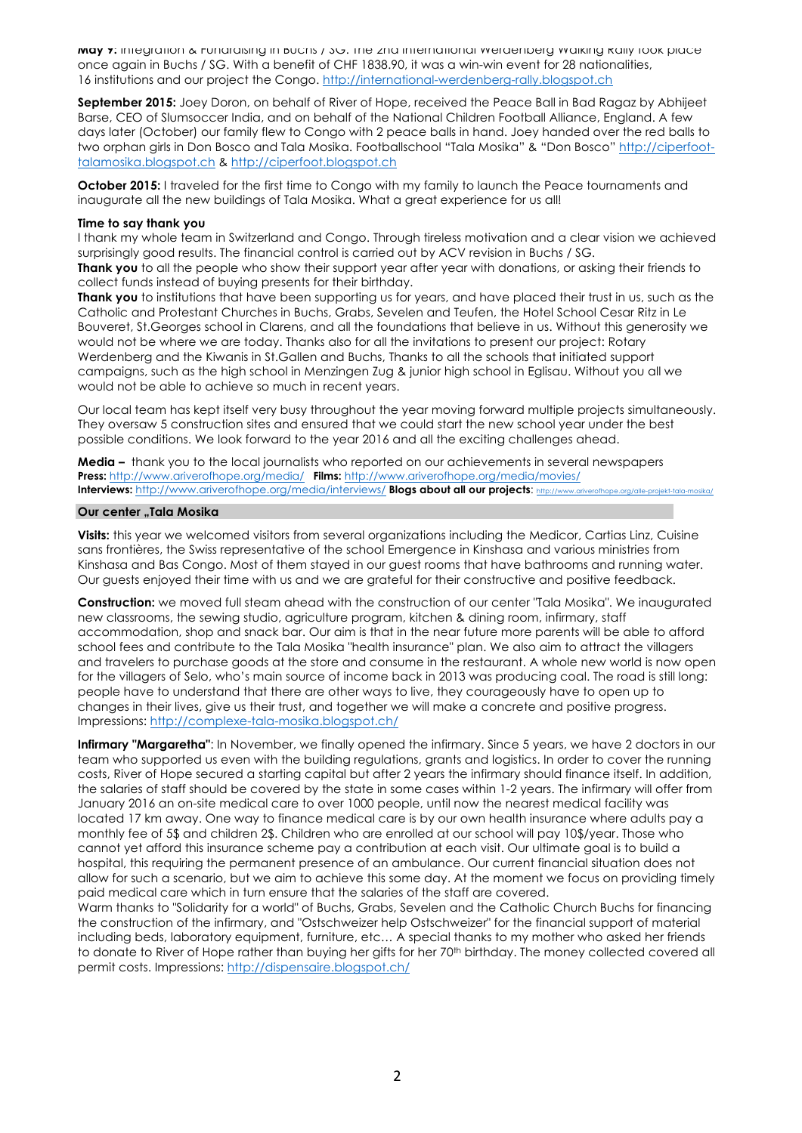**May 7:** Integration & Fundraising in Buchs / SG. The 2nd International Werdenberg Walking Rally took place once again in Buchs / SG. With a benefit of CHF 1838.90, it was a win-win event for 28 nationalities, 16 institutions and our project the Congo. http://international-werdenberg-rally.blogspot.ch

**September 2015:** Joey Doron, on behalf of River of Hope, received the Peace Ball in Bad Ragaz by Abhijeet Barse, CEO of Slumsoccer India, and on behalf of the National Children Football Alliance, England. A few days later (October) our family flew to Congo with 2 peace balls in hand. Joey handed over the red balls to two orphan girls in Don Bosco and Tala Mosika. Footballschool "Tala Mosika" & "Don Bosco" http://ciperfoottalamosika.blogspot.ch & http://ciperfoot.blogspot.ch

**October 2015:** I traveled for the first time to Congo with my family to launch the Peace tournaments and inaugurate all the new buildings of Tala Mosika. What a great experience for us all!

### **Time to say thank you**

I thank my whole team in Switzerland and Congo. Through tireless motivation and a clear vision we achieved surprisingly good results. The financial control is carried out by ACV revision in Buchs / SG.

**Thank you** to all the people who show their support year after year with donations, or asking their friends to collect funds instead of buying presents for their birthday.

**Thank you** to institutions that have been supporting us for years, and have placed their trust in us, such as the Catholic and Protestant Churches in Buchs, Grabs, Sevelen and Teufen, the Hotel School Cesar Ritz in Le Bouveret, St.Georges school in Clarens, and all the foundations that believe in us. Without this generosity we would not be where we are today. Thanks also for all the invitations to present our project: Rotary Werdenberg and the Kiwanis in St.Gallen and Buchs, Thanks to all the schools that initiated support campaigns, such as the high school in Menzingen Zug & junior high school in Eglisau. Without you all we would not be able to achieve so much in recent years.

Our local team has kept itself very busy throughout the year moving forward multiple projects simultaneously. They oversaw 5 construction sites and ensured that we could start the new school year under the best possible conditions. We look forward to the year 2016 and all the exciting challenges ahead.

**Media –** thank you to the local journalists who reported on our achievements in several newspapers **Press:** http://www.ariverofhope.org/media/ **Films:** http://www.ariverofhope.org/media/movies/ Interviews: http://www.ariverofhope.org/media/interviews/ Blogs about all our projects: http://www.ari

### **Our center "Tala Mosika**

**Visits:** this year we welcomed visitors from several organizations including the Medicor, Cartias Linz, Cuisine sans frontières, the Swiss representative of the school Emergence in Kinshasa and various ministries from Kinshasa and Bas Congo. Most of them stayed in our guest rooms that have bathrooms and running water. Our guests enjoyed their time with us and we are grateful for their constructive and positive feedback.

**Construction:** we moved full steam ahead with the construction of our center "Tala Mosika". We inaugurated new classrooms, the sewing studio, agriculture program, kitchen & dining room, infirmary, staff accommodation, shop and snack bar. Our aim is that in the near future more parents will be able to afford school fees and contribute to the Tala Mosika "health insurance" plan. We also aim to attract the villagers and travelers to purchase goods at the store and consume in the restaurant. A whole new world is now open for the villagers of Selo, who's main source of income back in 2013 was producing coal. The road is still long: people have to understand that there are other ways to live, they courageously have to open up to changes in their lives, give us their trust, and together we will make a concrete and positive progress. Impressions: http://complexe-tala-mosika.blogspot.ch/

**Infirmary "Margaretha"**: In November, we finally opened the infirmary. Since 5 years, we have 2 doctors in our team who supported us even with the building regulations, grants and logistics. In order to cover the running costs, River of Hope secured a starting capital but after 2 years the infirmary should finance itself. In addition, the salaries of staff should be covered by the state in some cases within 1-2 years. The infirmary will offer from January 2016 an on-site medical care to over 1000 people, until now the nearest medical facility was located 17 km away. One way to finance medical care is by our own health insurance where adults pay a monthly fee of 5\$ and children 2\$. Children who are enrolled at our school will pay 10\$/year. Those who cannot yet afford this insurance scheme pay a contribution at each visit. Our ultimate goal is to build a hospital, this requiring the permanent presence of an ambulance. Our current financial situation does not allow for such a scenario, but we aim to achieve this some day. At the moment we focus on providing timely paid medical care which in turn ensure that the salaries of the staff are covered.

Warm thanks to "Solidarity for a world" of Buchs, Grabs, Sevelen and the Catholic Church Buchs for financing the construction of the infirmary, and "Ostschweizer help Ostschweizer" for the financial support of material including beds, laboratory equipment, furniture, etc… A special thanks to my mother who asked her friends to donate to River of Hope rather than buying her gifts for her 70<sup>th</sup> birthday. The money collected covered all permit costs. Impressions: http://dispensaire.blogspot.ch/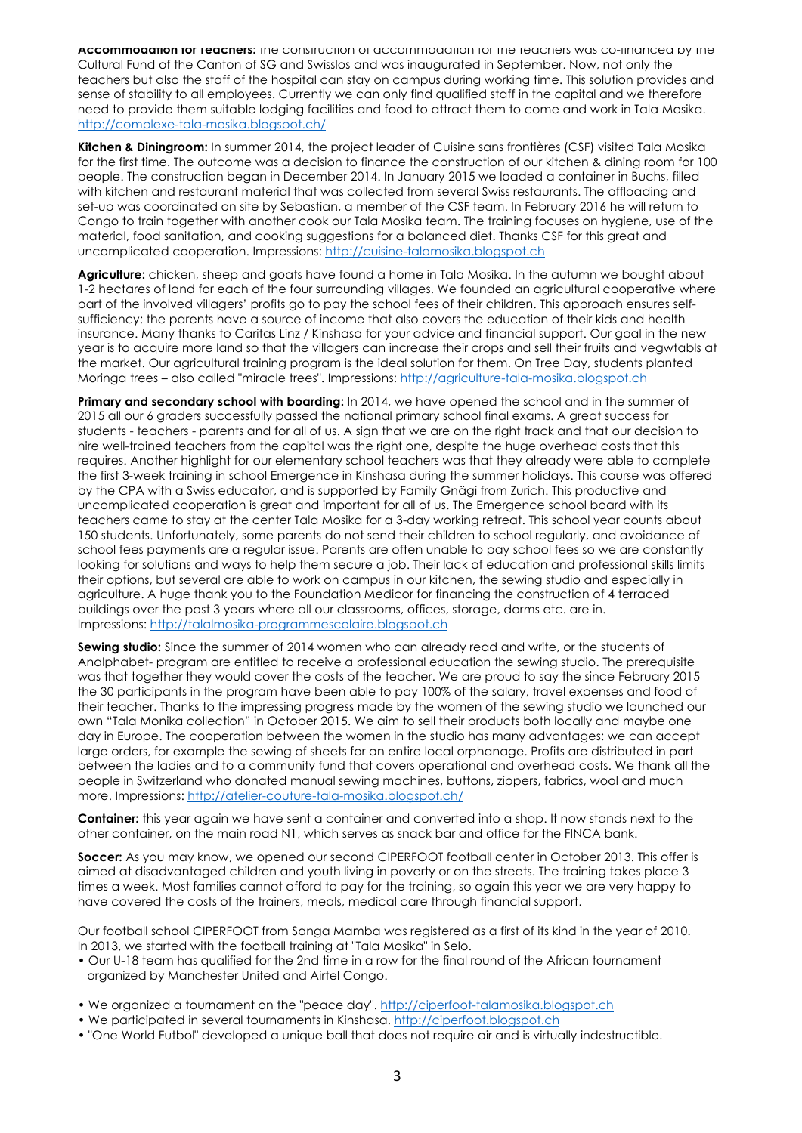**Accommodation for Teachers:** the construction of accommodation for the teachers was co-financed by the Cultural Fund of the Canton of SG and Swisslos and was inaugurated in September. Now, not only the teachers but also the staff of the hospital can stay on campus during working time. This solution provides and sense of stability to all employees. Currently we can only find qualified staff in the capital and we therefore need to provide them suitable lodging facilities and food to attract them to come and work in Tala Mosika. http://complexe-tala-mosika.blogspot.ch/

**Kitchen & Diningroom:** In summer 2014, the project leader of Cuisine sans frontières (CSF) visited Tala Mosika for the first time. The outcome was a decision to finance the construction of our kitchen & dining room for 100 people. The construction began in December 2014. In January 2015 we loaded a container in Buchs, filled with kitchen and restaurant material that was collected from several Swiss restaurants. The offloading and set-up was coordinated on site by Sebastian, a member of the CSF team. In February 2016 he will return to Congo to train together with another cook our Tala Mosika team. The training focuses on hygiene, use of the material, food sanitation, and cooking suggestions for a balanced diet. Thanks CSF for this great and uncomplicated cooperation. Impressions: http://cuisine-talamosika.blogspot.ch

**Agriculture:** chicken, sheep and goats have found a home in Tala Mosika. In the autumn we bought about 1-2 hectares of land for each of the four surrounding villages. We founded an agricultural cooperative where part of the involved villagers' profits go to pay the school fees of their children. This approach ensures selfsufficiency: the parents have a source of income that also covers the education of their kids and health insurance. Many thanks to Caritas Linz / Kinshasa for your advice and financial support. Our goal in the new year is to acquire more land so that the villagers can increase their crops and sell their fruits and vegwtabls at the market. Our agricultural training program is the ideal solution for them. On Tree Day, students planted Moringa trees – also called "miracle trees". Impressions: http://agriculture-tala-mosika.blogspot.ch

**Primary and secondary school with boarding:** In 2014, we have opened the school and in the summer of 2015 all our 6 graders successfully passed the national primary school final exams. A great success for students - teachers - parents and for all of us. A sign that we are on the right track and that our decision to hire well-trained teachers from the capital was the right one, despite the huge overhead costs that this requires. Another highlight for our elementary school teachers was that they already were able to complete the first 3-week training in school Emergence in Kinshasa during the summer holidays. This course was offered by the CPA with a Swiss educator, and is supported by Family Gnägi from Zurich. This productive and uncomplicated cooperation is great and important for all of us. The Emergence school board with its teachers came to stay at the center Tala Mosika for a 3-day working retreat. This school year counts about 150 students. Unfortunately, some parents do not send their children to school regularly, and avoidance of school fees payments are a regular issue. Parents are often unable to pay school fees so we are constantly looking for solutions and ways to help them secure a job. Their lack of education and professional skills limits their options, but several are able to work on campus in our kitchen, the sewing studio and especially in agriculture. A huge thank you to the Foundation Medicor for financing the construction of 4 terraced buildings over the past 3 years where all our classrooms, offices, storage, dorms etc. are in. Impressions: http://talalmosika-programmescolaire.blogspot.ch

**Sewing studio:** Since the summer of 2014 women who can already read and write, or the students of Analphabet- program are entitled to receive a professional education the sewing studio. The prerequisite was that together they would cover the costs of the teacher. We are proud to say the since February 2015 the 30 participants in the program have been able to pay 100% of the salary, travel expenses and food of their teacher. Thanks to the impressing progress made by the women of the sewing studio we launched our own "Tala Monika collection" in October 2015. We aim to sell their products both locally and maybe one day in Europe. The cooperation between the women in the studio has many advantages: we can accept large orders, for example the sewing of sheets for an entire local orphanage. Profits are distributed in part between the ladies and to a community fund that covers operational and overhead costs. We thank all the people in Switzerland who donated manual sewing machines, buttons, zippers, fabrics, wool and much more. Impressions: http://atelier-couture-tala-mosika.blogspot.ch/

**Container:** this year again we have sent a container and converted into a shop. It now stands next to the other container, on the main road N1, which serves as snack bar and office for the FINCA bank.

**Soccer:** As you may know, we opened our second CIPERFOOT football center in October 2013. This offer is aimed at disadvantaged children and youth living in poverty or on the streets. The training takes place 3 times a week. Most families cannot afford to pay for the training, so again this year we are very happy to have covered the costs of the trainers, meals, medical care through financial support.

Our football school CIPERFOOT from Sanga Mamba was registered as a first of its kind in the year of 2010. In 2013, we started with the football training at "Tala Mosika" in Selo.

- Our U-18 team has qualified for the 2nd time in a row for the final round of the African tournament organized by Manchester United and Airtel Congo.
- We organized a tournament on the "peace day". http://ciperfoot-talamosika.blogspot.ch
- We participated in several tournaments in Kinshasa. http://ciperfoot.blogspot.ch
- "One World Futbol" developed a unique ball that does not require air and is virtually indestructible.